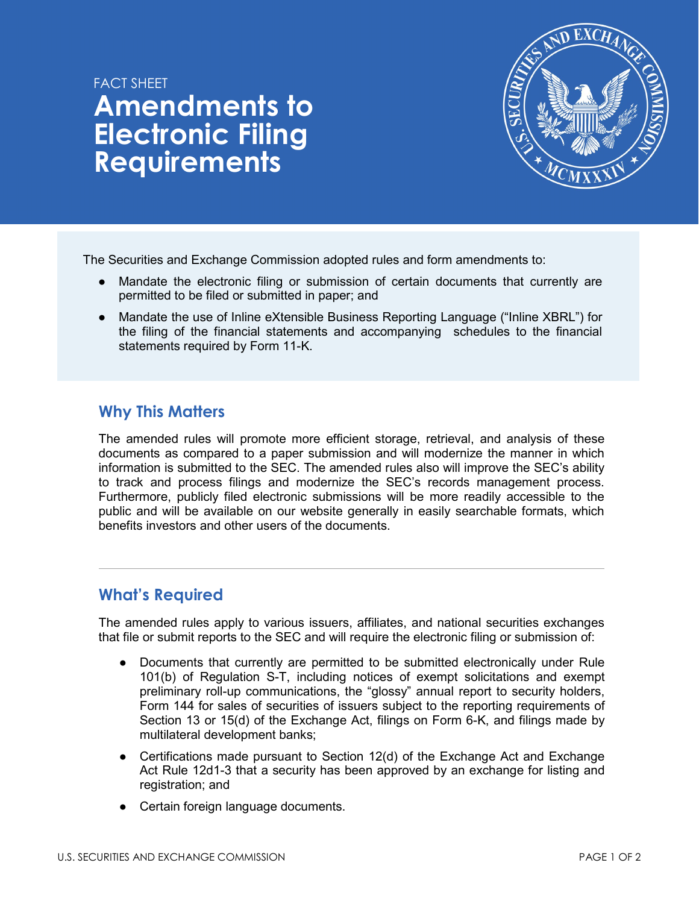# FACT SHFFT **Amendments to Electronic Filing Requirements**



The Securities and Exchange Commission adopted rules and form amendments to:

- Mandate the electronic filing or submission of certain documents that currently are permitted to be filed or submitted in paper; and
- Mandate the use of Inline eXtensible Business Reporting Language ("Inline XBRL") for the filing of the financial statements and accompanying schedules to the financial statements required by Form 11-K.

## **Why This Matters**

The amended rules will promote more efficient storage, retrieval, and analysis of these documents as compared to a paper submission and will modernize the manner in which information is submitted to the SEC. The amended rules also will improve the SEC's ability to track and process filings and modernize the SEC's records management process. Furthermore, publicly filed electronic submissions will be more readily accessible to the public and will be available on our website generally in easily searchable formats, which benefits investors and other users of the documents.

## **What's Required**

The amended rules apply to various issuers, affiliates, and national securities exchanges that file or submit reports to the SEC and will require the electronic filing or submission of:

- Documents that currently are permitted to be submitted electronically under Rule 101(b) of Regulation S-T, including notices of exempt solicitations and exempt preliminary roll-up communications, the "glossy" annual report to security holders, Form 144 for sales of securities of issuers subject to the reporting requirements of Section 13 or 15(d) of the Exchange Act, filings on Form 6-K, and filings made by multilateral development banks;
- Certifications made pursuant to Section 12(d) of the Exchange Act and Exchange Act Rule 12d1-3 that a security has been approved by an exchange for listing and registration; and
- Certain foreign language documents.